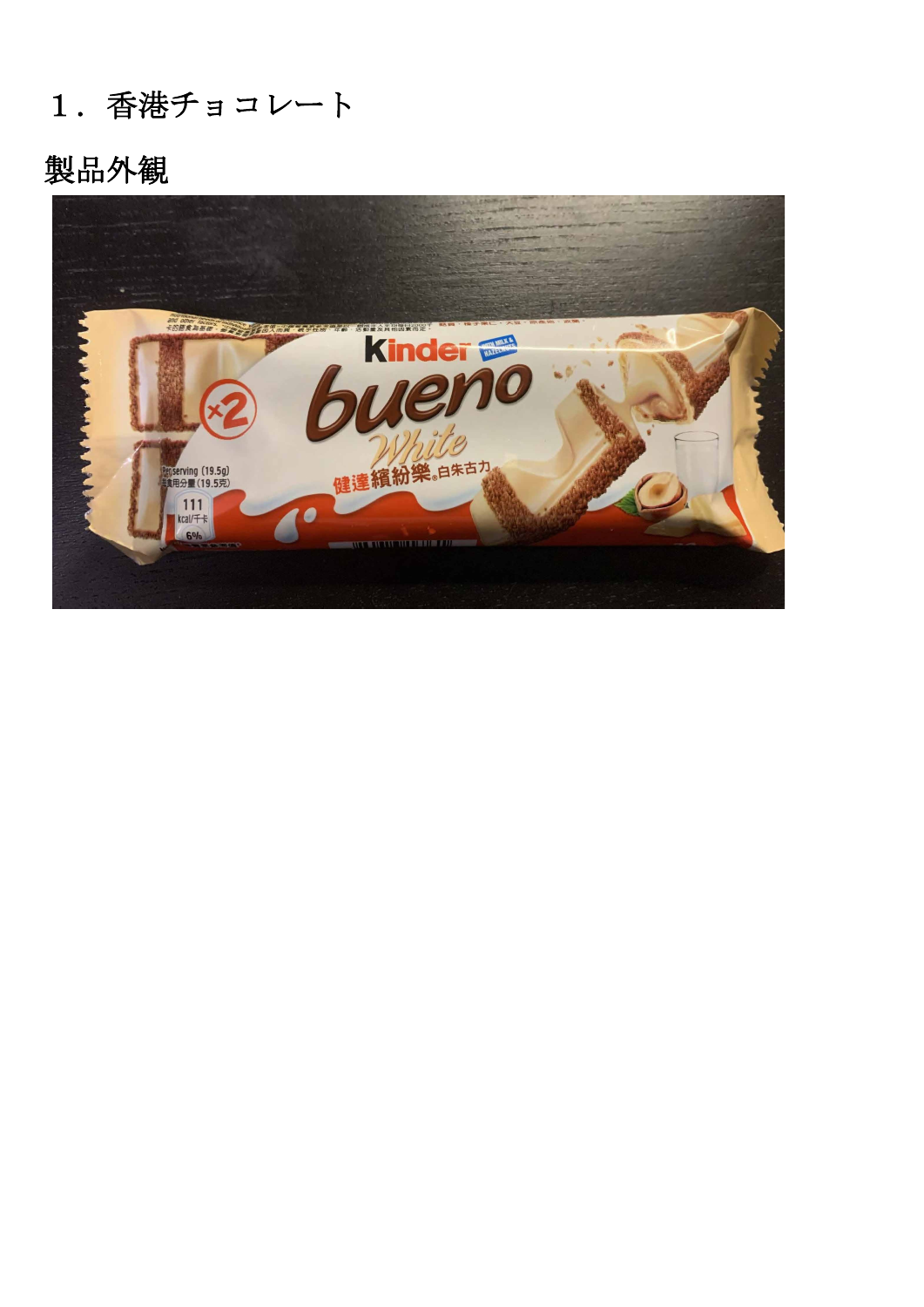#### 1.香港チョコレート

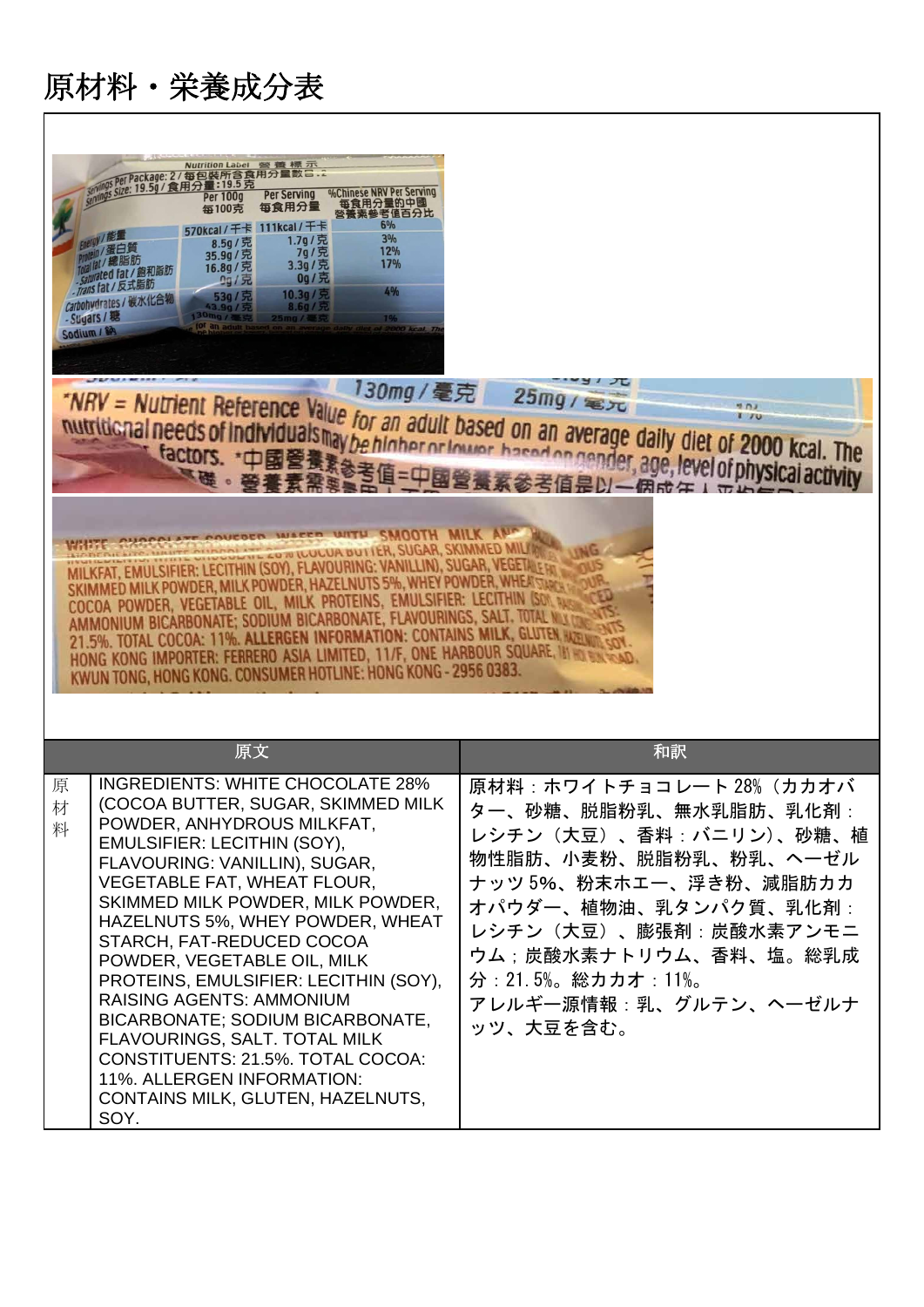$\Gamma$ 

|             | Nutrition Label 警 養 標 示<br>per Package: 2 / 每包裝所含食用分量數 二.<br>size: 19.5g/食用分量: 19.5克<br>%Chinese NRV Per Serving<br>Per Serving<br><b>Per 100g</b><br>每食用分量的中國<br>每食用分量<br>每100克<br>營養素參考值百分比<br>6%<br>570kcal/千卡 111kcal/千卡<br>W/能量<br>3%<br>1.7g/克<br>8.5g/ 完<br>ein/蛋白質<br>12%<br>7g/克<br>35.9g/ 宄<br>hallal / 總脂肪<br>17%<br>3.3g/克<br>16.8g/克<br>caturated fat / 飽和脂肪<br>0g/克<br>2g/R<br>Trans fat / 反式脂肪<br>4%<br>10.3g /<br>53g/克<br>Carbohydrates / 碳水化合物<br>8.6q / 5t<br>43.9g/克<br>30mg/a<br>- Sugars / 糖<br>1%<br>25mg/毫克<br>Sodium / SPS<br>SMOOTH MILK<br>LOW WULUA BUTTER, SUGAR, SKIMMED MILI<br>MILKFAT, EMULSIFIER: LECITHIN (SOY), FLAVOURING: VANILLIN), SUGAR, VEGETA ET<br>MED MILK POWDER, MILK POWDER, HAZELNUTS 5%, WHEY POWDER, WHE<br>COCOA POWDER, VEGETABLE OIL, MILK PROTEINS, EMULSIFIER: LECITHI<br>AMMONIUM BICARBONATE; SODIUM BICARBONATE, FLAVOURINGS, SALT. TOTA<br>21.5%. TOTAL COCOA: 11%. ALLERGEN INFORMATION: CONTAINS MILK, GLUTEN<br>HONG KONG IMPORTER: FERRERO ASIA LIMITED, 11/F, ONE HARBOUR SQUARE, IN<br>KWUN TONG, HONG KONG. CONSUMER HOTLINE: HONG KONG - 2956 0383. | "NRV = Nutrient Reference Value for an adult based on an average daily diet of 2000 kcal. The<br>nutritional needs of individuals may be higher or lower based on gander, age, level of physical activity<br>参考信息以一個成年1元4年                                              |
|-------------|-------------------------------------------------------------------------------------------------------------------------------------------------------------------------------------------------------------------------------------------------------------------------------------------------------------------------------------------------------------------------------------------------------------------------------------------------------------------------------------------------------------------------------------------------------------------------------------------------------------------------------------------------------------------------------------------------------------------------------------------------------------------------------------------------------------------------------------------------------------------------------------------------------------------------------------------------------------------------------------------------------------------------------------------------------------------------------------------------------------------------|-------------------------------------------------------------------------------------------------------------------------------------------------------------------------------------------------------------------------------------------------------------------------|
|             | 原文                                                                                                                                                                                                                                                                                                                                                                                                                                                                                                                                                                                                                                                                                                                                                                                                                                                                                                                                                                                                                                                                                                                      | 和訳                                                                                                                                                                                                                                                                      |
| 原<br>材<br>料 | <b>INGREDIENTS: WHITE CHOCOLATE 28%</b><br>(COCOA BUTTER, SUGAR, SKIMMED MILK<br>POWDER, ANHYDROUS MILKFAT,<br>EMULSIFIER: LECITHIN (SOY),<br>FLAVOURING: VANILLIN), SUGAR,<br>VEGETABLE FAT, WHEAT FLOUR,<br>SKIMMED MILK POWDER, MILK POWDER,<br>HAZELNUTS 5%, WHEY POWDER, WHEAT<br>STARCH, FAT-REDUCED COCOA<br>POWDER, VEGETABLE OIL, MILK<br>PROTEINS, EMULSIFIER: LECITHIN (SOY),<br><b>RAISING AGENTS: AMMONIUM</b><br>BICARBONATE; SODIUM BICARBONATE,<br>FLAVOURINGS, SALT. TOTAL MILK<br>CONSTITUENTS: 21.5%. TOTAL COCOA:<br>11%. ALLERGEN INFORMATION:<br>CONTAINS MILK, GLUTEN, HAZELNUTS,<br>SOY.                                                                                                                                                                                                                                                                                                                                                                                                                                                                                                        | 原材料:ホワイトチョコレート 28% (カカオバ<br>ター、砂糖、脱脂粉乳、無水乳脂肪、乳化剤:<br>レシチン (大豆)、香料:バニリン)、砂糖、植<br>物性脂肪、小麦粉、脱脂粉乳、粉乳、ヘーゼル<br>ナッツ 5%、粉末ホエー、浮き粉、減脂肪カカ<br>オパウダー、植物油、乳タンパク質、乳化剤:<br>レシチン(大豆)、膨張剤:炭酸水素アンモニ<br>ウム:炭酸水素ナトリウム、香料、塩。総乳成<br>分: 21.5%。総カカオ: 11%。<br>アレルギー源情報:乳、グルテン、ヘーゼルナ<br>ッツ、大豆を含む。 |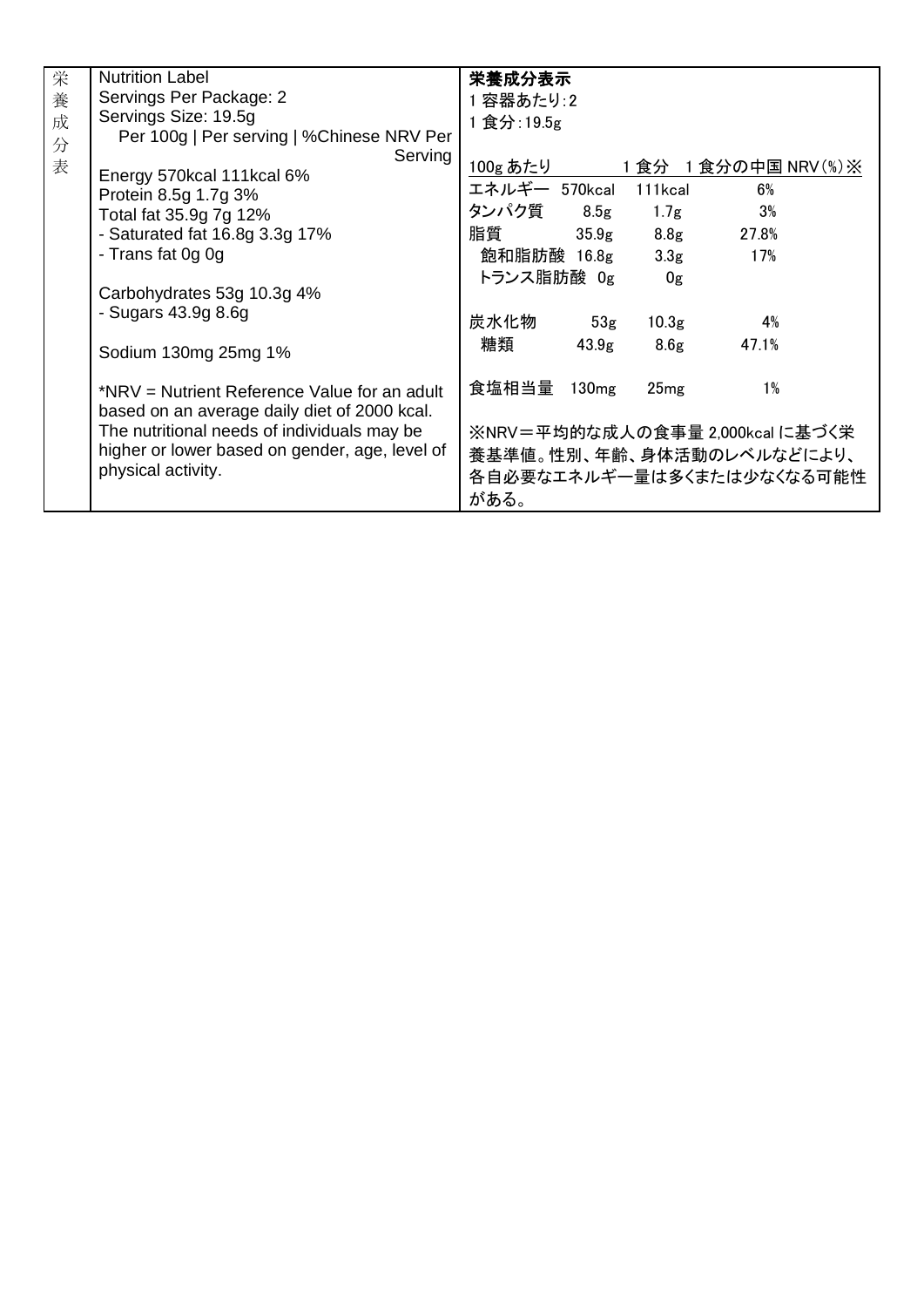| 栄 | <b>Nutrition Label</b>                         | 栄養成分表示                |                   |                   |                                 |
|---|------------------------------------------------|-----------------------|-------------------|-------------------|---------------------------------|
| 養 | Servings Per Package: 2                        | 1 容器あたり:2             |                   |                   |                                 |
| 成 | Servings Size: 19.5g                           | 1 食分: 19.5g           |                   |                   |                                 |
| 分 | Per 100g   Per serving   %Chinese NRV Per      |                       |                   |                   |                                 |
| 表 | Serving                                        | 100g あたり              |                   |                   |                                 |
|   | Energy 570kcal 111kcal 6%                      |                       |                   |                   | 1食分 1食分の中国 NRV(%)※              |
|   | Protein 8.5g 1.7g 3%                           | エネルギー 570kcal 111kcal |                   |                   | 6%                              |
|   | Total fat 35.9g 7g 12%                         | タンパク質                 | 8.5g              | 1.7 <sub>g</sub>  | 3%                              |
|   | - Saturated fat 16.8g 3.3g 17%                 | 脂質                    | 35.9 <sub>g</sub> | 8.8 <sub>g</sub>  | 27.8%                           |
|   | - Trans fat 0g 0g                              | 飽和脂肪酸 16.8g           |                   | 3.3 <sub>g</sub>  | 17%                             |
|   |                                                | トランス脂肪酸 Og            |                   | 0g                |                                 |
|   | Carbohydrates 53g 10.3g 4%                     |                       |                   |                   |                                 |
|   | - Sugars 43.9g 8.6g                            | 炭水化物                  | 53g               | 10.3 <sub>g</sub> | 4%                              |
|   |                                                | 糖類                    |                   |                   | 47.1%                           |
|   | Sodium 130mg 25mg 1%                           |                       | 43.9 <sub>g</sub> | 8.6 <sub>g</sub>  |                                 |
|   |                                                |                       |                   |                   |                                 |
|   | *NRV = Nutrient Reference Value for an adult   | 食塩相当量 130mg           |                   | 25mg              | $1\%$                           |
|   | based on an average daily diet of 2000 kcal.   |                       |                   |                   |                                 |
|   | The nutritional needs of individuals may be    |                       |                   |                   | ※NRV=平均的な成人の食事量 2,000kcal に基づく栄 |
|   | higher or lower based on gender, age, level of |                       |                   |                   | 養基準値。性別、年齢、身体活動のレベルなどにより、       |
|   | physical activity.                             |                       |                   |                   | 各自必要なエネルギー量は多くまたは少なくなる可能性       |
|   |                                                | がある。                  |                   |                   |                                 |
|   |                                                |                       |                   |                   |                                 |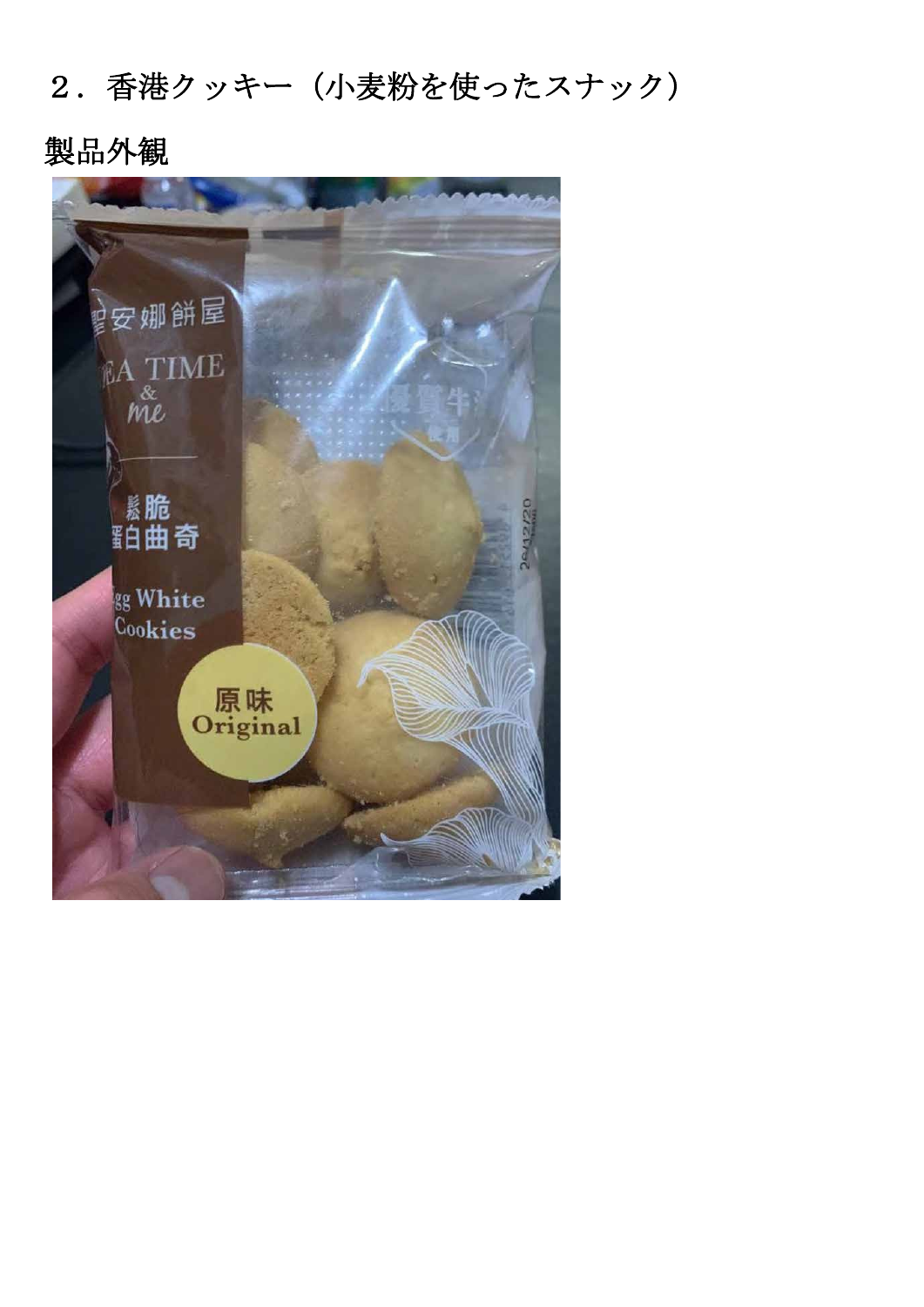## 2.香港クッキー(小麦粉を使ったスナック)

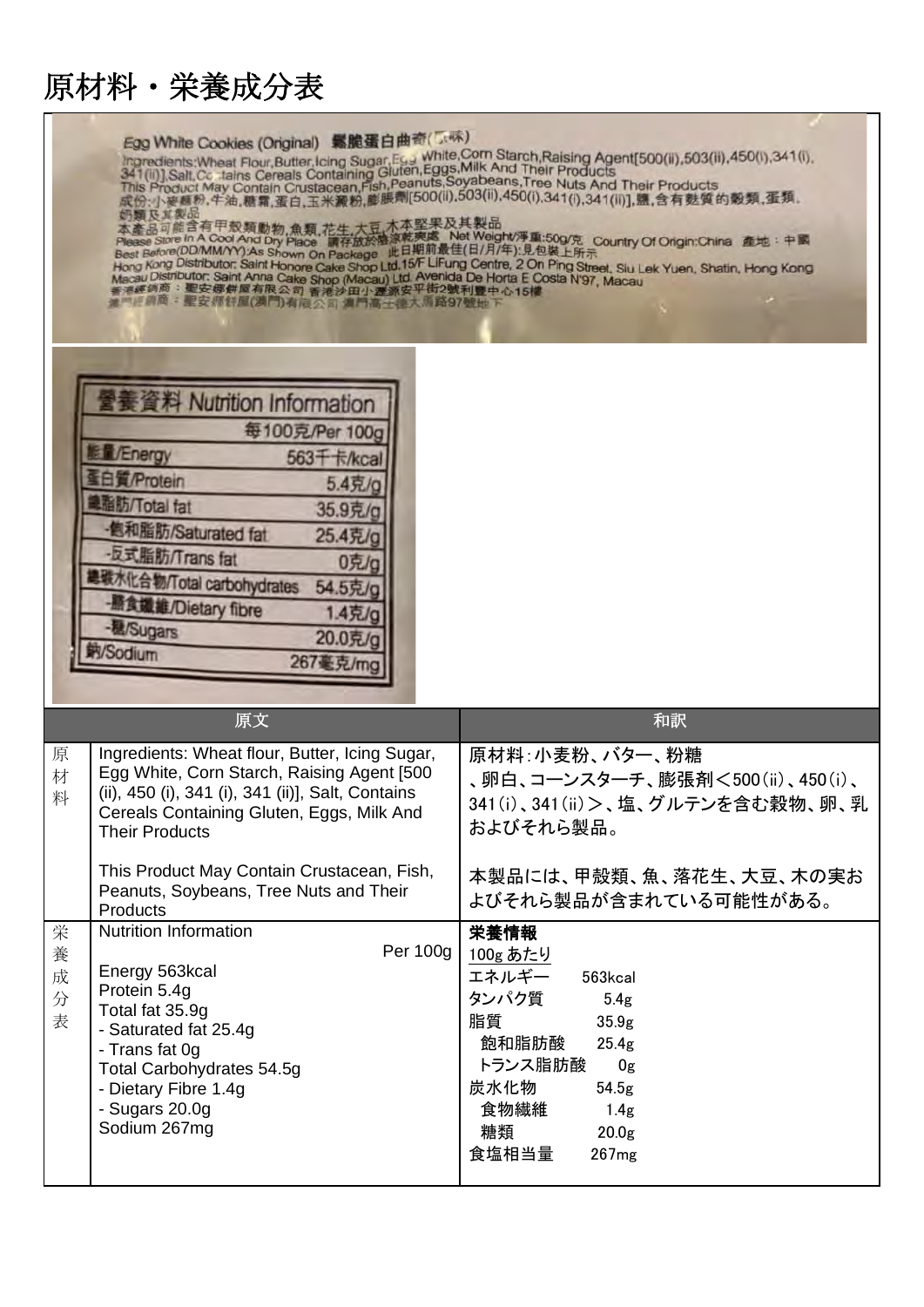| Egg White Cookies (Original) 緊脆蛋白曲奇(<br>Ingredients: Wheat Flour, Butter, Icing Sugar, Egy White, Corn Starch, Raising Agent [500(ii), 503(ii), 450(i), 341(i), 341(i), 341(i), 341(ii), Salt, Cc tains Cereals Containing Gluten, Eggs, Milk And Their Products<br>This<br>成份:小麥麵粉,牛油,糖霜,蛋白,玉米澱粉,膨脹劑[500(il),503(ii),450(i),341(i),341(il)],鹽,含有麩質的穀類,蛋類。<br>奶颗及其製品<br>本產品可能含有甲殼類動物,魚類,花生,大豆,木本堅果及其製品<br>Please Store In A Cool And Dry Place 請存放於陰涼乾爽處 Net Weight/淨重:50g/克 Country Of Origin:China 產地:中國<br>Best Before(DD/MM/YY):As Shown On Package 此日期前最佳(日/月/年):見包裝上所示<br>Hong Kong Distributor: Saint Honore Cake Shop Ltd.15/F LiFung Centre, 2 On Ping Street, Slu Lek Yuen, Shatin, Hong Kong<br>Macau Distributor: Saint Anna Cake Shop (Macau) Ltd. Avenida De Horta E Costa N'97, Macau<br>香港經銷商:聖安娜餅屋有限公司 香港沙田小澤源安平街2號利豐中心15樓<br>■門評論商:聖安师許屋(満門)有向公司 满門高于德大师路97號地下 |                                                                                                                                                                                                                                                                                                              |                                                                                                                                                                                                                                                                |  |
|----------------------------------------------------------------------------------------------------------------------------------------------------------------------------------------------------------------------------------------------------------------------------------------------------------------------------------------------------------------------------------------------------------------------------------------------------------------------------------------------------------------------------------------------------------------------------------------------------------------------------------------------------------------------------------------------------------------------------------------------------------------------------------------------------------------------------------------------------------------------------------|--------------------------------------------------------------------------------------------------------------------------------------------------------------------------------------------------------------------------------------------------------------------------------------------------------------|----------------------------------------------------------------------------------------------------------------------------------------------------------------------------------------------------------------------------------------------------------------|--|
|                                                                                                                                                                                                                                                                                                                                                                                                                                                                                                                                                                                                                                                                                                                                                                                                                                                                                  | A Nutrition Information<br>每100克/Per 100g<br><b>VEnergy</b><br>563千卡/kcal<br>Protein<br>5.4克/g<br>脂肪/Total fat<br>35.9克/g<br>画和脂肪/Saturated fat<br>25.4克/g<br>反式脂肪/Trans fat<br>0克/g<br>息碳水化合物/Total carbohydrates<br>54.5克/g<br>積鐵維/Dietary fibre<br>1.4克/g<br>程/Sugars<br>20.0克/g<br>/Sodium<br>267 最 克/mc |                                                                                                                                                                                                                                                                |  |
| 原<br>材<br>料                                                                                                                                                                                                                                                                                                                                                                                                                                                                                                                                                                                                                                                                                                                                                                                                                                                                      | 原文<br>Ingredients: Wheat flour, Butter, Icing Sugar,<br>Egg White, Corn Starch, Raising Agent [500<br>(ii), 450 (i), 341 (i), 341 (ii)], Salt, Contains<br>Cereals Containing Gluten, Eggs, Milk And<br><b>Their Products</b><br>This Product May Contain Crustacean, Fish,                                  | 和訳<br>原材料:小麦粉、バター、粉糖<br>、卵白、コーンスターチ、膨張剤<500(ii)、450(i)、<br>341(i)、341(ii) >、塩、グルテンを含む穀物、卵、乳<br>およびそれら製品。<br>本製品には、甲殻類、魚、落花生、大豆、木の実お                                                                                                                            |  |
| 栄<br>養<br>成<br>分<br>表                                                                                                                                                                                                                                                                                                                                                                                                                                                                                                                                                                                                                                                                                                                                                                                                                                                            | Peanuts, Soybeans, Tree Nuts and Their<br>Products<br><b>Nutrition Information</b><br>Per 100g<br>Energy 563kcal<br>Protein 5.4g<br>Total fat 35.9g<br>- Saturated fat 25.4g<br>- Trans fat 0g<br>Total Carbohydrates 54.5g<br>- Dietary Fibre 1.4g<br>- Sugars 20.0g<br>Sodium 267mg                        | よびそれら製品が含まれている可能性がある。<br>栄養情報<br>100g あたり<br>エネルギー<br>563kcal<br>タンパク質<br>5.4 <sub>g</sub><br>脂質<br>35.9 <sub>g</sub><br>飽和脂肪酸<br>25.4 <sub>g</sub><br>トランス脂肪酸<br>0g<br>炭水化物<br>54.5 <sub>g</sub><br>食物繊維<br>1.4g<br>糖類<br>20.0 <sub>g</sub><br>食塩相当量<br>267mg |  |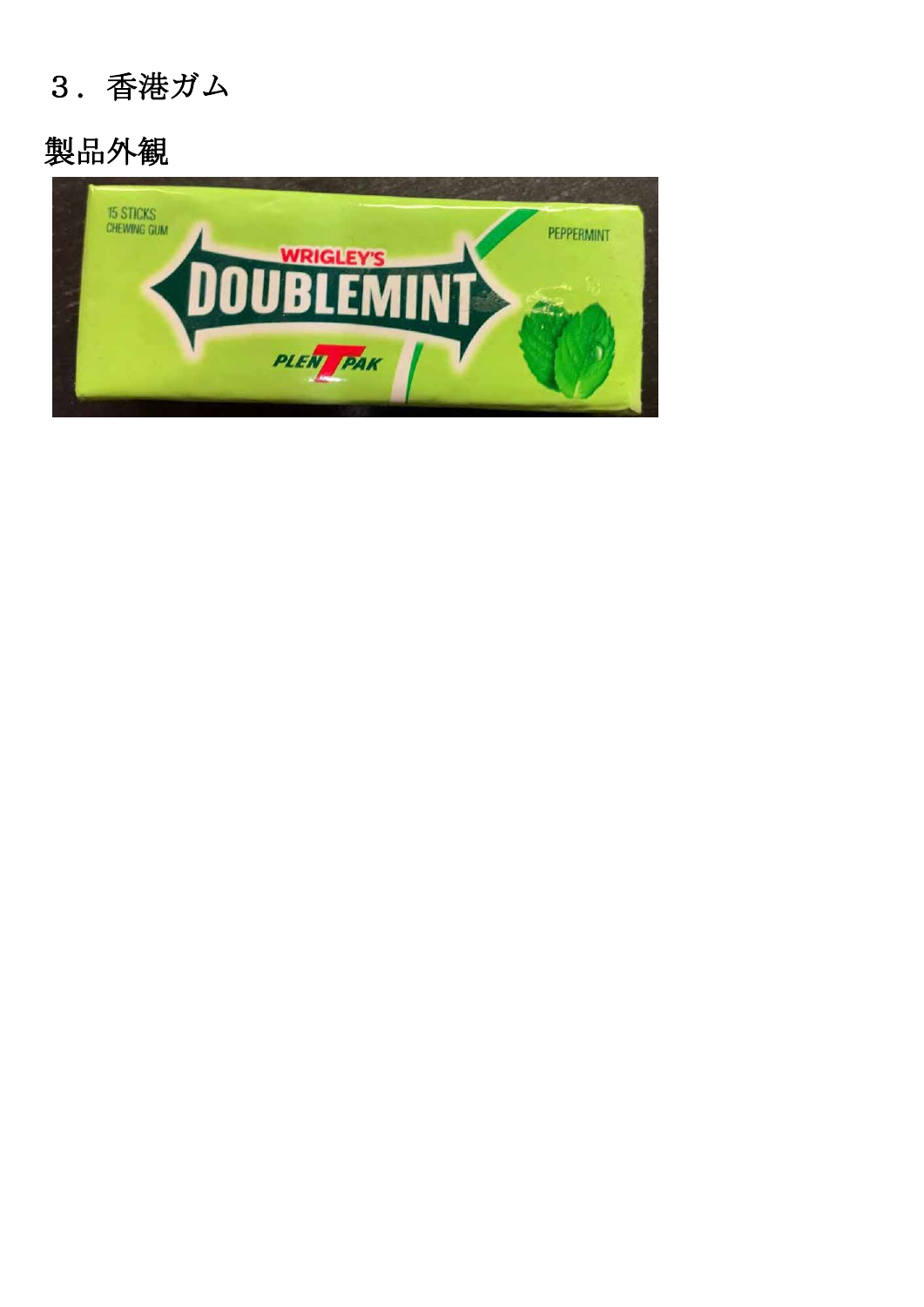#### 3.香港ガム

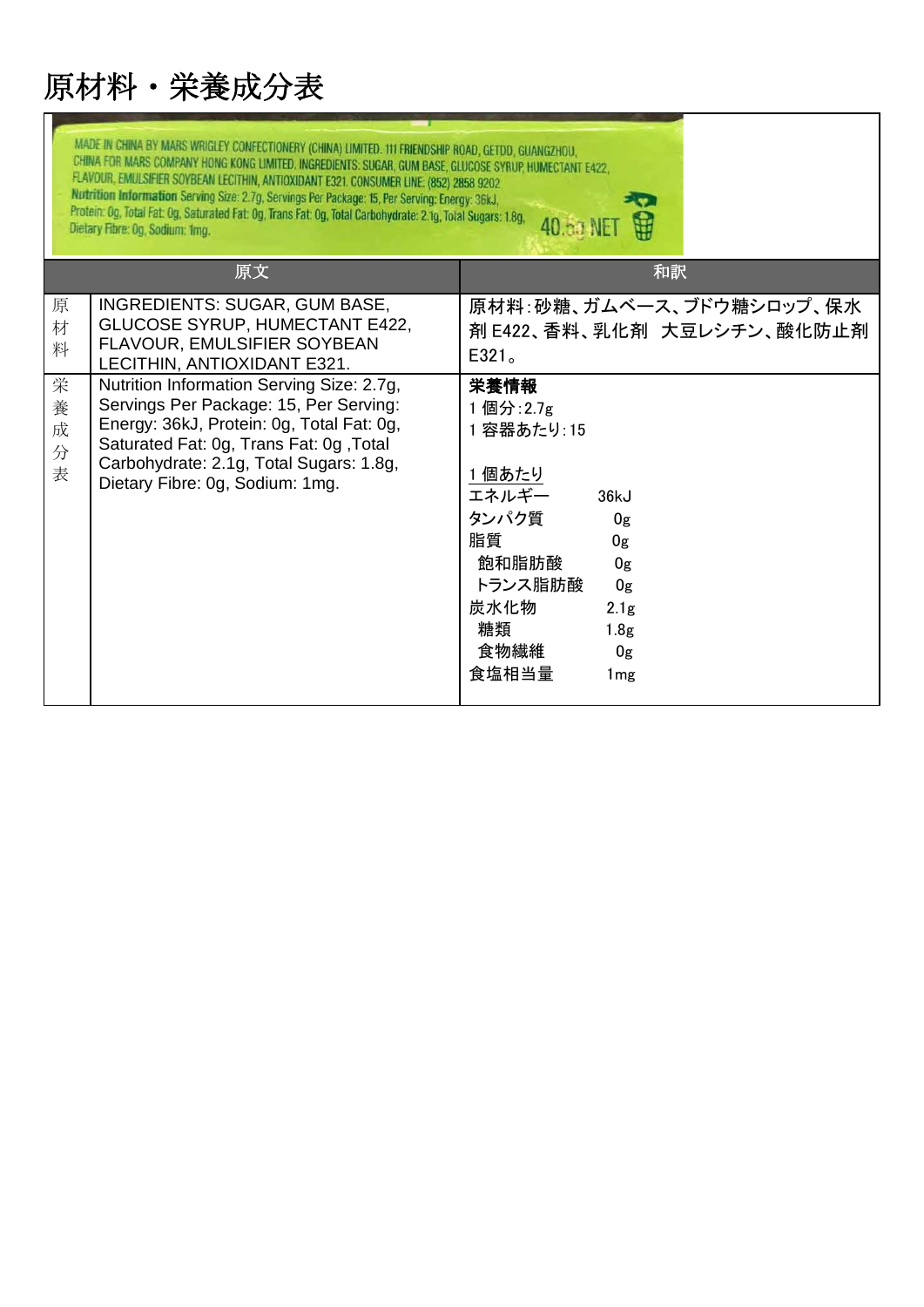| MADE IN CHINA BY MARS WRIGLEY CONFECTIONERY (CHINA) LIMITED. 111 FRIENDSHIP ROAD, GETDD, GUANGZHOU,<br>CHINA FOR MARS COMPANY HONG KONG LIMITED. INGREDIENTS: SUGAR, GUM BASE, GLUCOSE SYRUP, HUMECTANT E422,<br>FLAVOUR, EMULSIFIER SOYBEAN LECITHIN, ANTIOXIDANT E321. CONSUMER LINE: (852) 2858 9202<br>Nutrition Information Serving Size: 2.7g, Servings Per Package: 15, Per Serving: Energy: 36kJ,<br>Protein: Og, Total Fat: Og, Saturated Fat: Og, Trans Fat: Og, Total Carbohydrate: 2.1g, Total Sugars: 1.8g,<br>40.53 NE<br>Dietary Fibre: Og, Sodium: 1mg. |                                                                                                                                                                                                                                                           |                                                                                                                                                                                                                                   |  |  |
|-------------------------------------------------------------------------------------------------------------------------------------------------------------------------------------------------------------------------------------------------------------------------------------------------------------------------------------------------------------------------------------------------------------------------------------------------------------------------------------------------------------------------------------------------------------------------|-----------------------------------------------------------------------------------------------------------------------------------------------------------------------------------------------------------------------------------------------------------|-----------------------------------------------------------------------------------------------------------------------------------------------------------------------------------------------------------------------------------|--|--|
|                                                                                                                                                                                                                                                                                                                                                                                                                                                                                                                                                                         | 原文                                                                                                                                                                                                                                                        | 和訳                                                                                                                                                                                                                                |  |  |
| 原<br>材<br>料                                                                                                                                                                                                                                                                                                                                                                                                                                                                                                                                                             | INGREDIENTS: SUGAR, GUM BASE,<br><b>GLUCOSE SYRUP, HUMECTANT E422,</b><br>FLAVOUR, EMULSIFIER SOYBEAN<br>LECITHIN, ANTIOXIDANT E321.                                                                                                                      | 原材料:砂糖、ガムベース、ブドウ糖シロップ、保水<br>剤 E422、香料、乳化剤 大豆レシチン、酸化防止剤<br>E321 <sub>o</sub>                                                                                                                                                       |  |  |
| 栄<br>養<br>成<br>分<br>表                                                                                                                                                                                                                                                                                                                                                                                                                                                                                                                                                   | Nutrition Information Serving Size: 2.7g,<br>Servings Per Package: 15, Per Serving:<br>Energy: 36kJ, Protein: 0g, Total Fat: 0g,<br>Saturated Fat: 0g, Trans Fat: 0g, Total<br>Carbohydrate: 2.1g, Total Sugars: 1.8g,<br>Dietary Fibre: 0g, Sodium: 1mg. | 栄養情報<br>1個分: 2.7g<br>1 容器あたり: 15<br>1個あたり<br>エネルギー<br>36kJ<br>タンパク質<br>0 <sub>g</sub><br>脂質<br>0g<br>飽和脂肪酸<br>0g<br>トランス脂肪酸<br>0g<br>炭水化物<br>2.1 <sub>g</sub><br>糖類<br>1.8 <sub>g</sub><br>食物繊維<br>0g<br>食塩相当量<br>1 <sub>mg</sub> |  |  |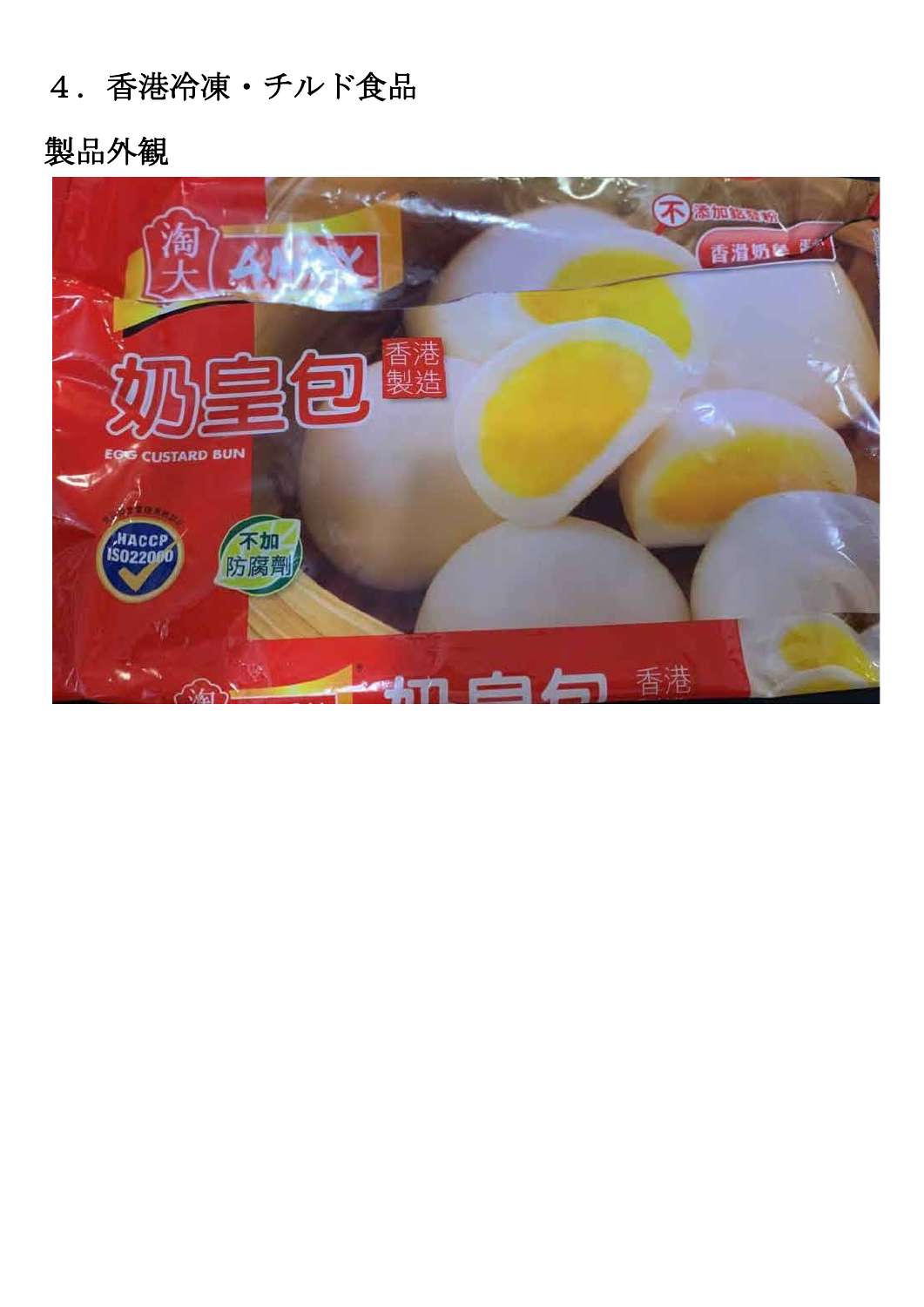## 4.香港冷凍・チルド食品

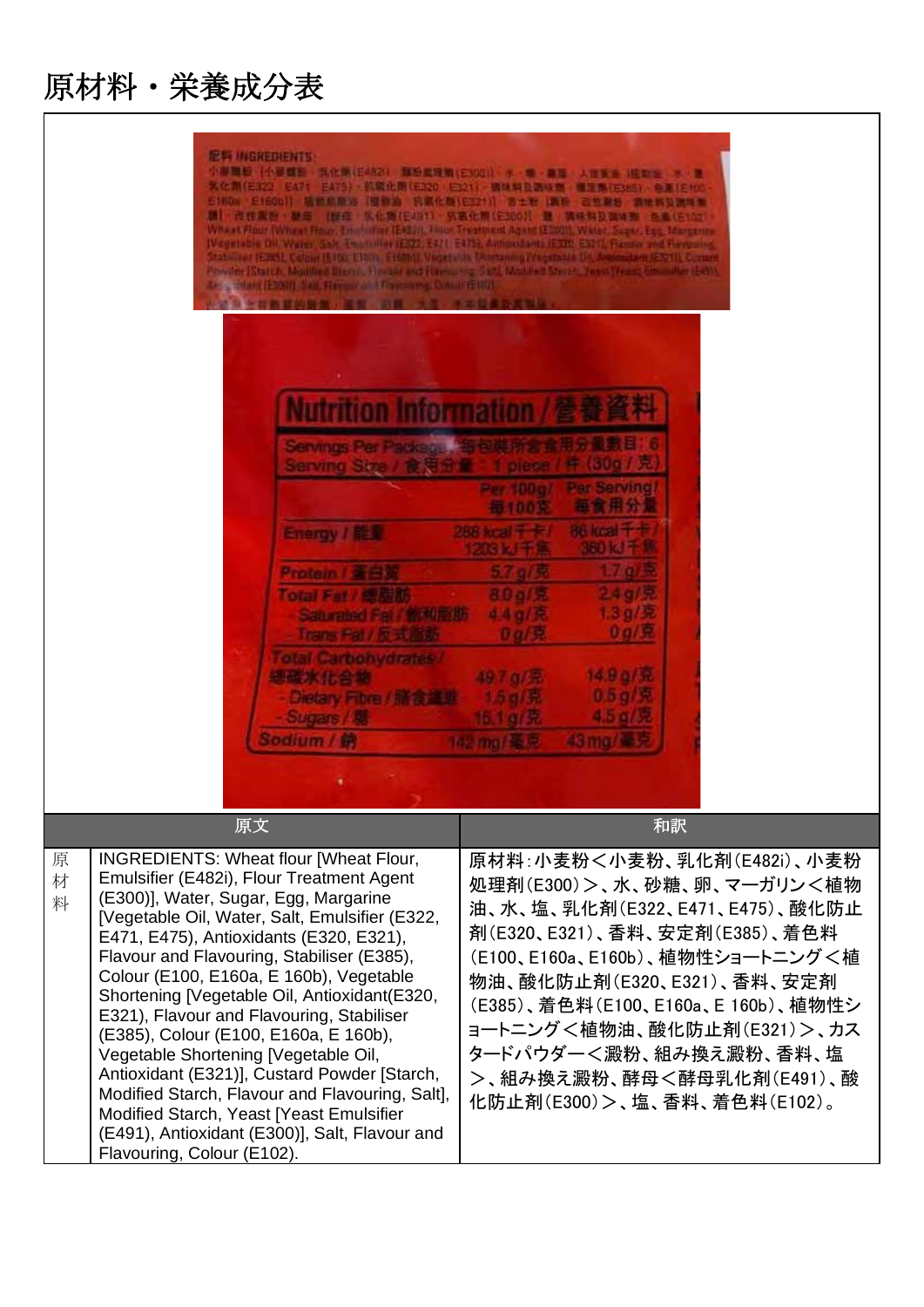$\blacksquare$ 

| <b>图有 INGREDIENTS:</b><br>小事間短  小事間野 - 共化期(日424) - 算形直径期(日503) - ケーモー商品 - 人体安告   植物会 - ナー屋<br>· 紫化 新(E322) E471 E475) · 抗腐化剤 (E320 E321) · 機械料及調味器 · 機工系(E365) / 色重164(0<br>E1NDs E160b)] 墙壁的商场【镶像油 抗氧化酶(E321)】 吉士石 画称 古生聚后 氯唑的及溴唑啉<br>調 - 皮性素粉 · 壁画 · 腰直 · 肌化酶(E4B1) · 拓跋化酶(E366)} . 是<br>  満株料及基准器  6 8 (610) <br>Wheat Flour (Wheat Roux, Emmilian (EAST)), Moor Treatment Agant (E1101), Water, Sysan, East Marsonin<br>IVegetable Oil, Water Gab, Equippiller (232), E471, E475; Antimodalshi (EXII) E571), Flandur and Haygung<br>Itabiliset (EERS), Calour (E190, E191)   E1600 (L'Vigat ali)   Mortaning (Yagatazid biyanmazizm (EER)   Cura<br>Provider (Statch, Monthed Decreto Florance and Florence - July Modified States, Vessations: Edwarder (E4))<br><b>Dell's Marci (E3001) Sea, Frayme and Freeman g. Colour (E107)</b><br>2010年11月12日的第三届第一项第一大学 不太过量数据型标<br>tion Information<br>お客様目<br>Servings Par Package (*<br>(30g/鬼<br>Serving Size / 食用<br>pleas<br><b>Par Serving/</b><br>Per 100ml<br>每食用分量<br><b>振100定</b><br>86 koal 千卡<br>288 kgal 千卡!<br>Energy / N.P<br>360 kJ 千异<br>200 以千里<br>7 <sub>2</sub><br>5.7 g/R<br>Protein / 查白货<br>2.4 g/R<br>800 元<br><b>Total Fat / 銀周斯</b><br>1.3 g/R<br>4.4g/黄<br>Saluraine Fall W 4 Eff<br>$0g/\hbar$<br>Trans Fat / R F. Ban<br>8 9 元<br><b>otal Carbohydrates /</b> |                                                                                                                                                                                                                                                                                                                                                         |  |
|------------------------------------------------------------------------------------------------------------------------------------------------------------------------------------------------------------------------------------------------------------------------------------------------------------------------------------------------------------------------------------------------------------------------------------------------------------------------------------------------------------------------------------------------------------------------------------------------------------------------------------------------------------------------------------------------------------------------------------------------------------------------------------------------------------------------------------------------------------------------------------------------------------------------------------------------------------------------------------------------------------------------------------------------------------------------------------------------------------------------------------------------------------------------------------------------------------------------------------------------------------------------------------------------------------------------------------------|---------------------------------------------------------------------------------------------------------------------------------------------------------------------------------------------------------------------------------------------------------------------------------------------------------------------------------------------------------|--|
| 書職家 化含油<br>Dietary Fibre / # 5 2 #<br>Sugars / 老                                                                                                                                                                                                                                                                                                                                                                                                                                                                                                                                                                                                                                                                                                                                                                                                                                                                                                                                                                                                                                                                                                                                                                                                                                                                                         | 14.9 g/克<br>49.7.4/泥<br>0.5 g/R<br>1.5 g/ 原<br>4.5 g/R<br>15.1 g/ 元                                                                                                                                                                                                                                                                                     |  |
| <b>Sodium / 的</b>                                                                                                                                                                                                                                                                                                                                                                                                                                                                                                                                                                                                                                                                                                                                                                                                                                                                                                                                                                                                                                                                                                                                                                                                                                                                                                                        | 43 ma/ 34 F<br>142 mai 系章                                                                                                                                                                                                                                                                                                                               |  |
| 原文                                                                                                                                                                                                                                                                                                                                                                                                                                                                                                                                                                                                                                                                                                                                                                                                                                                                                                                                                                                                                                                                                                                                                                                                                                                                                                                                       | 和訳                                                                                                                                                                                                                                                                                                                                                      |  |
| INGREDIENTS: Wheat flour [Wheat Flour,<br>原<br>Emulsifier (E482i), Flour Treatment Agent<br>材<br>(E300)], Water, Sugar, Egg, Margarine<br>料<br>[Vegetable Oil, Water, Salt, Emulsifier (E322,<br>E471, E475), Antioxidants (E320, E321),<br>Flavour and Flavouring, Stabiliser (E385),<br>Colour (E100, E160a, E 160b), Vegetable<br>Shortening [Vegetable Oil, Antioxidant(E320,<br>E321), Flavour and Flavouring, Stabiliser<br>(E385), Colour (E100, E160a, E 160b),<br>Vegetable Shortening [Vegetable Oil,<br>Antioxidant (E321)], Custard Powder [Starch,<br>Modified Starch, Flavour and Flavouring, Salt],<br>Modified Starch, Yeast [Yeast Emulsifier<br>(E491), Antioxidant (E300)], Salt, Flavour and<br>Flavouring, Colour (E102).                                                                                                                                                                                                                                                                                                                                                                                                                                                                                                                                                                                           | 原材料:小麦粉<小麦粉、乳化剤(E482i)、小麦粉<br>処理剤(E300)>、水、砂糖、卵、マーガリン<植物<br>油、水、塩、乳化剤(E322、E471、E475)、酸化防止<br>剤(E320、E321)、香料、安定剤(E385)、着色料<br>(E100、E160a、E160b)、植物性ショートニング<植<br>物油、酸化防止剤(E320、E321)、香料、安定剤<br>(E385)、着色料(E100、E160a、E 160b)、植物性シ<br>ョートニング<植物油、酸化防止剤(E321) >、カス<br>タードパウダー<澱粉、組み換え澱粉、香料、塩<br>>、組み換え澱粉、酵母<酵母乳化剤(E491)、酸<br>化防止剤(E300)>、塩、香料、着色料(E102)。 |  |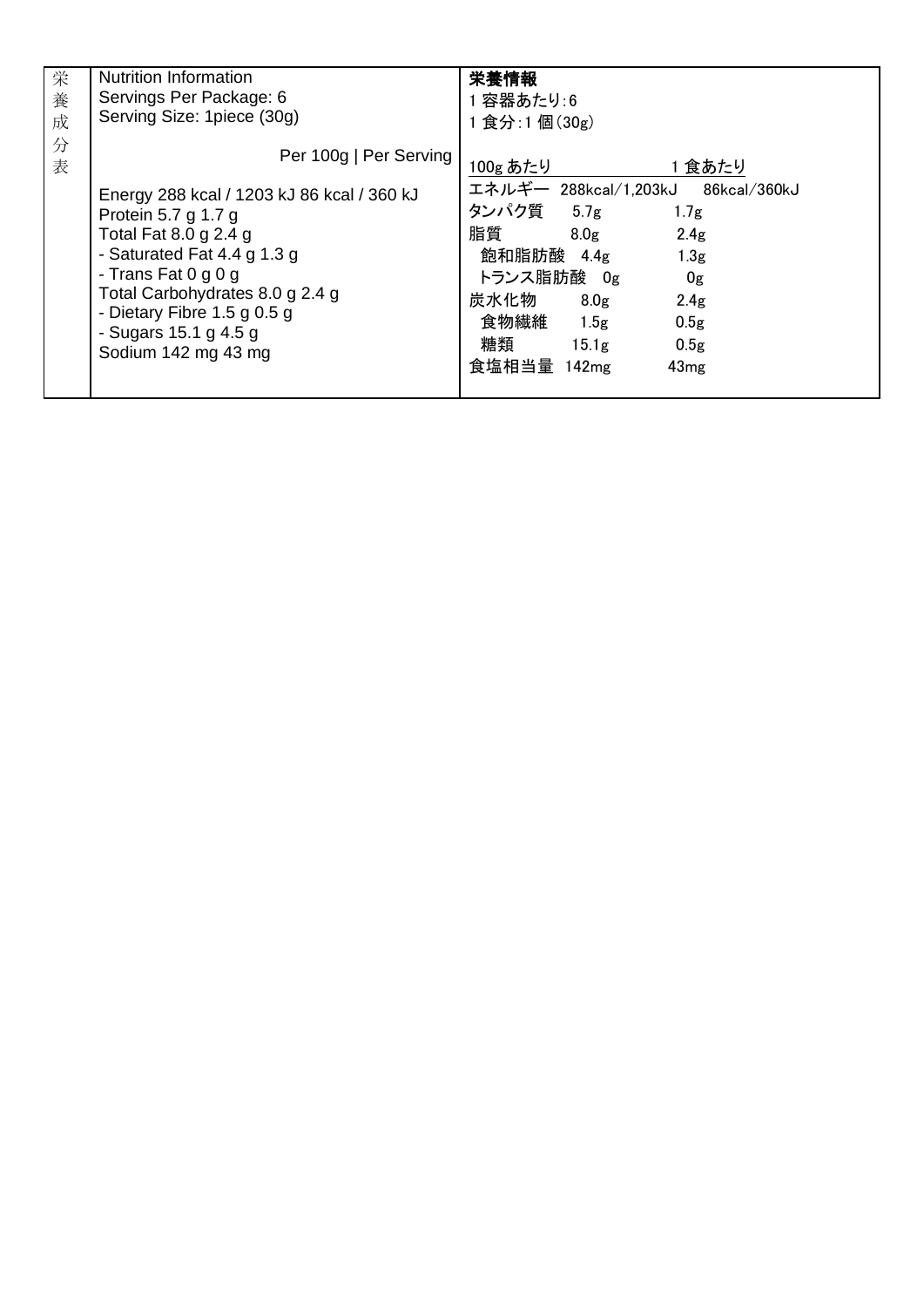| 栄      | <b>Nutrition Information</b>                                                                                                                                                                                                                                                                         | 栄養情報                                                                                                                                                                                                                                                                                                                     |
|--------|------------------------------------------------------------------------------------------------------------------------------------------------------------------------------------------------------------------------------------------------------------------------------------------------------|--------------------------------------------------------------------------------------------------------------------------------------------------------------------------------------------------------------------------------------------------------------------------------------------------------------------------|
| 養      | Servings Per Package: 6                                                                                                                                                                                                                                                                              | 容器あたり:6                                                                                                                                                                                                                                                                                                                  |
| 成      | Serving Size: 1 piece (30g)                                                                                                                                                                                                                                                                          | 1 食分:1 個(30g)                                                                                                                                                                                                                                                                                                            |
| 分<br>表 | Per 100g   Per Serving<br>Energy 288 kcal / 1203 kJ 86 kcal / 360 kJ<br>Protein 5.7 g 1.7 g<br>Total Fat 8.0 g 2.4 g<br>- Saturated Fat $4.4$ g $1.3$ g<br>- Trans Fat $0$ g $0$ g<br>Total Carbohydrates 8.0 g 2.4 g<br>- Dietary Fibre 1.5 g 0.5 g<br>- Sugars 15.1 g 4.5 g<br>Sodium 142 mg 43 mg | 1食あたり<br>100g あたり<br>エネルギー 288kcal/1,203kJ<br>86kcal ⁄ 360kJ<br>タンパク質 5.7g<br>1.7 <sub>g</sub><br>脂質<br>2.4 <sub>g</sub><br>8.0g<br>飽和脂肪酸 4.4g<br>1.3 <sub>g</sub><br>トランス脂肪酸 Og<br>0g<br>炭水化物<br>8.0 <sub>g</sub><br>2.4g<br>食物繊維<br>1.5g<br>0.5 <sub>g</sub><br>糖類<br>15.1 <sub>g</sub><br>0.5g<br>食塩相当量 142mg<br>43mg |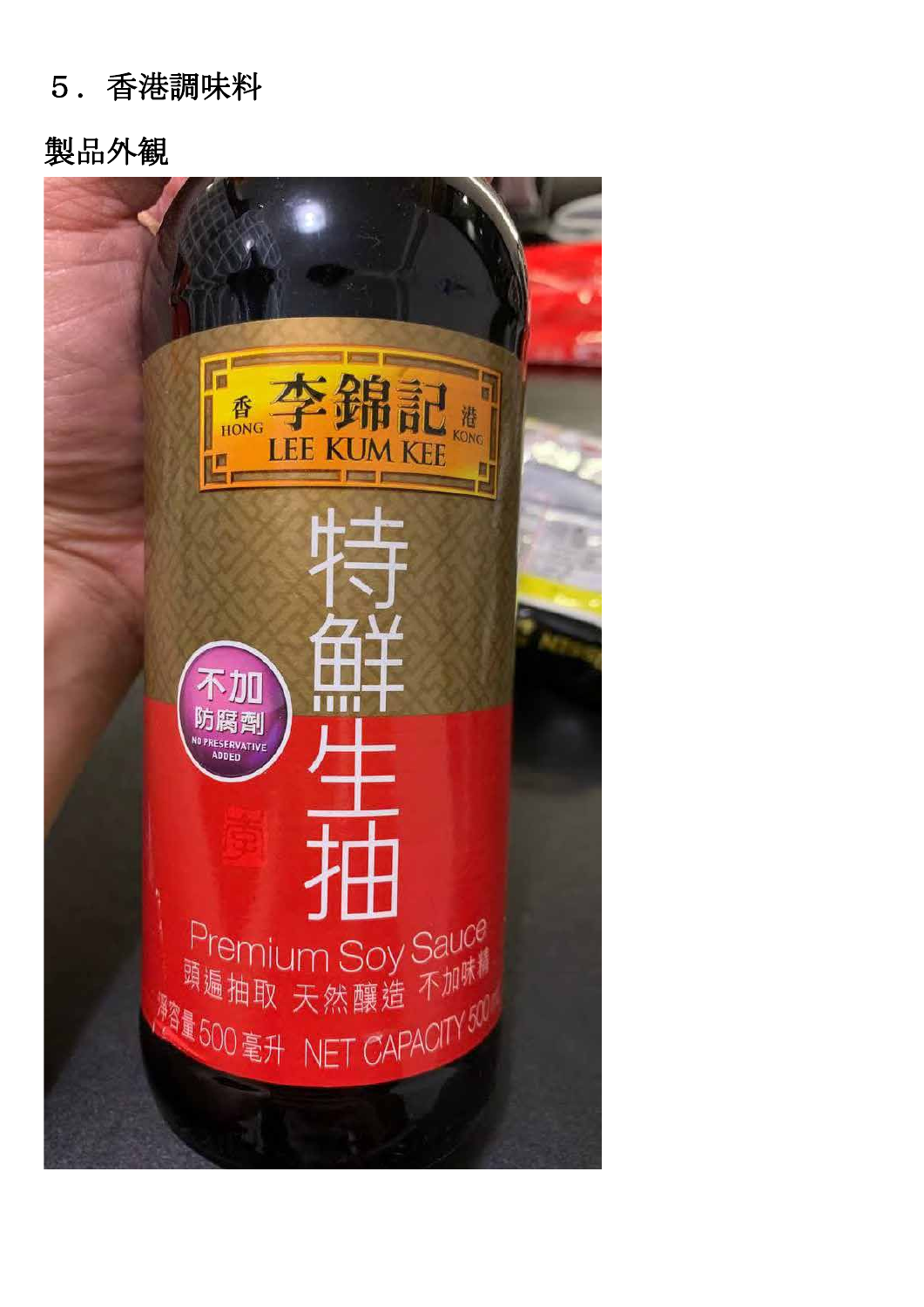#### 5.香港調味料